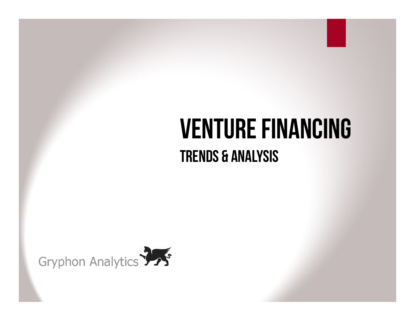# **VENTURE FINANCING** Trends & Analysis

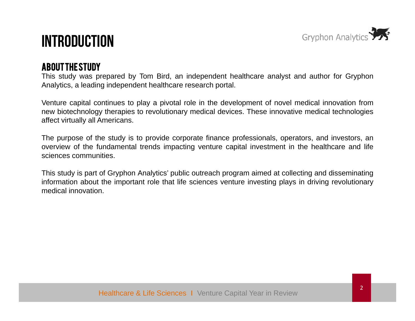

### Introduction

#### About the Study

This study was prepared by Tom Bird, an independent healthcare analyst and author for Gryphon Analytics, <sup>a</sup> leading independent healthcare research portal.

Venture capital continues to play <sup>a</sup> pivotal role in the development of novel medical innovation from new biotechnology therapies to revolutionary medical devices. These innovative medical technologies affect virtually all Americans.

The purpose of the study is to provide corporate finance professionals, operators, and investors, an overview of the fundamental trends impacting venture capital investment in the healthcare and life sciences communities.

This study is part of Gryphon Analytics' public outreach program aimed at collecting and disseminating information about the important role that life sciences venture investing plays in driving revolutionary medical innovation.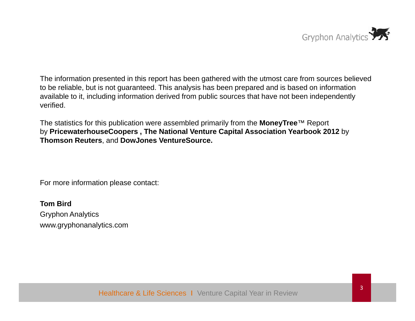

The information presented in this report has been gathered with the utmost care from sources believed to be reliable, but is not guaranteed. This analysis has been prepared and is based on information available to it, including information derived from public sources that have not been independently verified.

The statistics for this publication were assembled primarily from the **MoneyTree**™ Report by **PricewaterhouseCoopers , The National Venture Capital Association Yearbook 2012** by **Thomson Reuters** , and **DowJones VentureSource VentureSource.**

For more information please contact:

**Tom Bird**Gryphon Analytics www.gryphonanalytics.com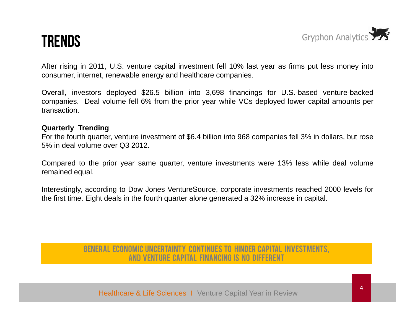### Trends



After rising in 2011, U.S. venture capital investment fell 10% last year as firms put less money into consumer, internet, renewable energy and healthcare companies.

Overall, investors deployed \$26.5 billion into 3,698 financings for U.S.-based venture-backed companies. Deal volume fell 6% from the prior year while VCs deployed lower capital amounts per transaction.

#### **Quarterly Trending**

For the fourth quarter, venture investment of \$6.4 billion into 968 companies fell 3% in dollars, but rose 5% in deal volume over Q3 2012.

Compared to the prior year same quarter, venture investments were 13% less while deal volume remained equal.

Interestingly, according to Dow Jones VentureSource, corporate investments reached 2000 levels for the first time. Eight deals in the fourth quarter alone generated <sup>a</sup> 32% increase in capital.

#### General economic uncertainty continues to hinder capital investments, and venture capital Financing is no different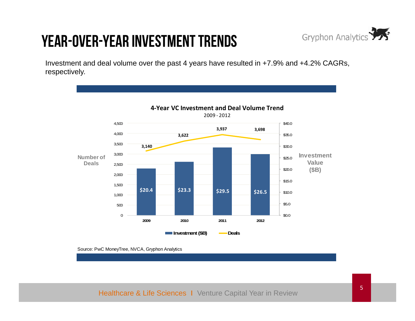# Year-over-Year Investment Trends



Investment and deal volume over the past 4 years have resulted in +7.9% and +4.2% CAGRs, respectively.



Source: PwC MoneyTree, NVCA, Gryphon Analytics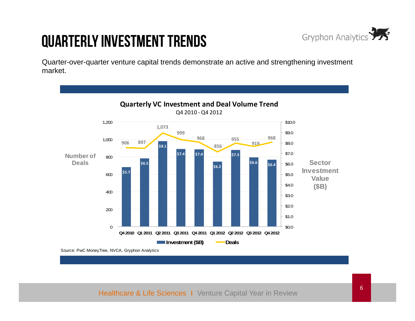# Quarterly Investment Trends



Quarter-over-quarter venture capital trends demonstrate an active and strengthening investment market.

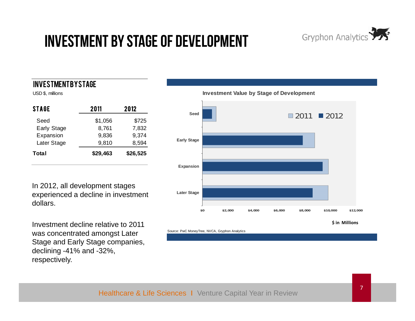# Investment by Stage of Development



#### Investment by Stage

| <b>STAGE</b> | 2011     | 2012     |  |  |
|--------------|----------|----------|--|--|
| Seed         | \$1,056  | \$725    |  |  |
| Early Stage  | 8,761    | 7,832    |  |  |
| Expansion    | 9,836    | 9,374    |  |  |
| Later Stage  | 9,810    | 8,594    |  |  |
| Total        | \$29,463 | \$26,525 |  |  |

In 2012, all development stages experienced a decline in investment dollars.

**\$** Investment decline relative to 2011 was concentrated amongst Later Stage and Early Stage companies, declining -41% and -32%, respectively respectively.



**in Millions**

Source: PwC MoneyTree, NVCA, Gryphon Analytics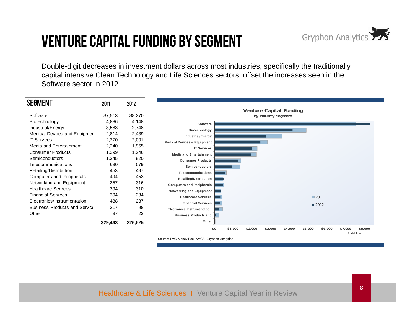# Venture Capital Funding by Segment



Double-digit decreases in investment dollars across most industries, specifically the traditionally capital intensive Clean Technology and Life Sciences sectors, offset the increases seen in the Software sector in 2012.

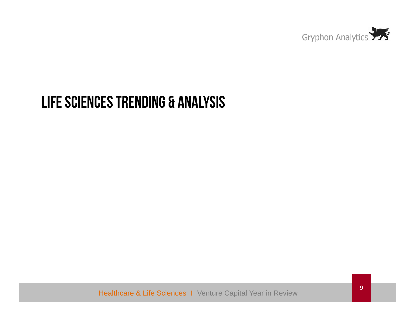

#### LIFE SCIENCES TRENDING & ANALYSIS

Healthcare & Life Sciences I Venture Capital Year in Review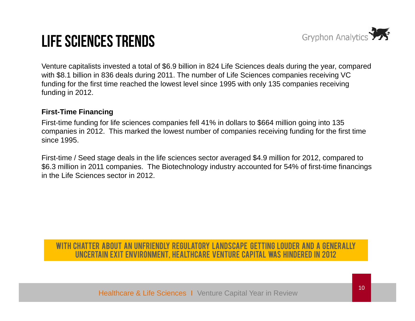# Life Sciences Trends



Venture capitalists invested a total of \$6.9 billion in 824 Life Sciences deals during the year, compared with \$8.1 billion in 836 deals during 2011. The number of Life Sciences companies receiving VC funding for the first time reached the lowest level since 1995 with only 135 companies receiving funding in 2012.

#### **First-Time Financing**

First-time funding for life sciences companies fell 41% in dollars to \$664 million going into 135 companies in 2012. This marked the lowest number of companies receiving funding for the first time since 1995.

First-time / Seed stage deals in the life sciences sector averaged \$4.9 million for 2012, compared to \$6.3 million in 2011 companies. The Biotechnology industry accounted for 54% of first-time financings in the Life Sciences sector in 2012.

#### With chatter about an unfriendly regulatory landscape getting louder and a generally uncertain exit environment, healthcare venture capital was Hindered in 2012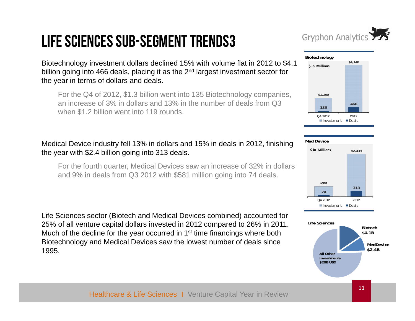# Life Sciences Sub-Segment Trends3



Biotechnology investment dollars declined 15% with volume flat in 2012 to \$4.1 billion going into 466 deals, placing it as the 2<sup>nd</sup> largest investment sector for the year in terms of dollars and deals.

For the Q4 of 2012, \$1.3 billion went into 135 Biotechnology companies, an increase of 3% in dollars and 13% in the number of deals from Q3 when \$1.2 billion went into 119 rounds.

#### Medical Device industry fell 13% in dollars and 15% in deals in 2012, finishing the year with \$2.4 billion going into 313 deals.

For the fourth quarter, Medical Devices saw an increase of 32% in dollars and 9% in deals from Q3 2012 with \$581 million going into 74 deals.

Life Sciences sector (Biotech and Medical Devices combined) accounted for 25% of all venture capital dollars invested in 2012 compared to 26% in 2011. Much of the decline for the year occurred in 1<sup>st</sup> time financings where both Biotechnology and Medical Devices saw the lowest number of deals since 1995.**All Other**





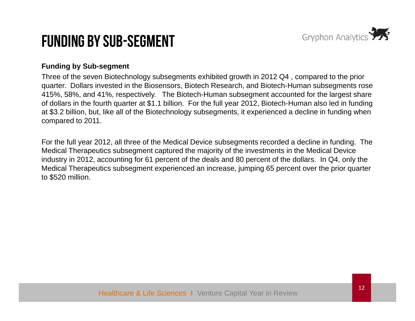

### Funding By Sub-Segment

#### **Funding by Sub-segment**

Three of the seven Biotechnology subsegments exhibited growth in 2012 Q4 , compared to the prior quarter. Dollars invested in the Biosensors, Biotech Research, and Biotech-Human subsegments rose 415%, 58%, and 41%, respectively. The Biotech-Human subsegment accounted for the largest share of dollars in the fourth quarter at \$1.1 billion. For the full year 2012, Biotech-Human also led in funding at \$3.2 billion, but, like all of the Biotechnology subsegments, it experienced a decline in funding when compared to 2011.

For the full year 2012, all three of the Medical Device subsegments recorded a decline in funding. The Medical Therapeutics subsegment captured the majority of the investments in the Medical Device industry in 2012, accounting for 61 percent of the deals and 80 percent of the dollars. In Q4, only the Medical Therapeutics subsegment experienced an increase, jumping 65 percent over the prior quarter to \$520 million.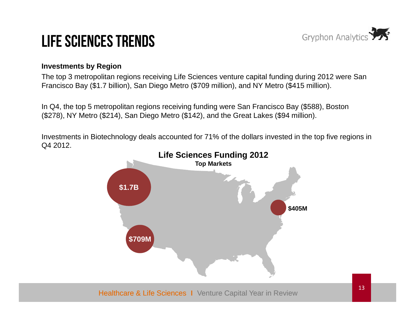

# Life Sciences Trends

#### **Investments by Region**

The top 3 metropolitan regions receiving Life Sciences venture capital funding during 2012 were San Francisco Bay (\$1.7 billion), San Diego Metro (\$709 million), and NY Metro (\$415 million).

In Q4, the top 5 metropolitan regions receiving funding were San Francisco Bay (\$588), Boston (\$278), NY Metro (\$214), San Diego Metro (\$142), and the Great Lakes (\$94 million).

Investments in Biotechnology deals accounted for 71% of the dollars invested in the top five regions in Q4 2012.



Healthcare & Life Sciences I Venture Capital Year in Review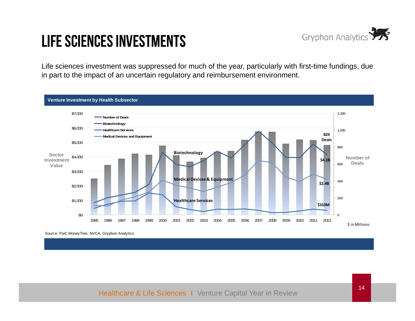

# Life Sciences Investments

Life sciences investment was suppressed for much of the year, particularly with first-time fundings, due in part to the impact of an uncertain regulatory and reimbursement environment.



Source: PwC MoneyTree, NVCA, Gryphon Analytics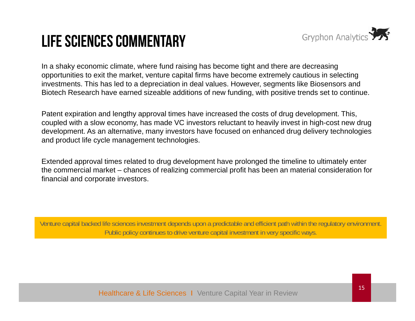### Life Sciences Commentary



In a shaky economic climate, where fund raising has become tight and there are decreasing opportunities to exit the market, venture capital firms have become extremely cautious in selecting investments. This has led to a depreciation in deal values. However, segments like Biosensors and Biotech Research have earned sizeable additions of new funding, with positive trends set to continue.

Patent expiration and lengthy approval times have increased the costs of drug development. This, coupled with a slow economy, has made VC investors reluctant to heavily invest in high-cost new drug development. As an alternative, many investors have focused on enhanced drug delivery technologies and product life cycle management technologies.

Extended approval times related to drug development have prolonged the timeline to ultimately enter the commercial market – chances of realizing commercial profit has been an material consideration for financial and corporate investors.

Venture capital backed life sciences investment depends upon a predictable and efficient path within the regulatory environment. Public policy continues to drive venture capital investment in very specific ways.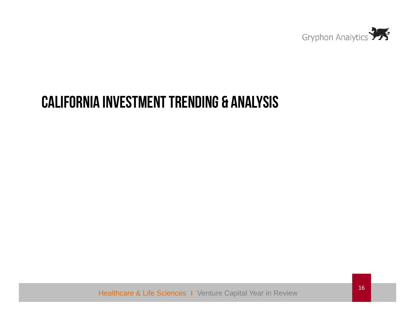

### CALIFORNIA INVESTMENT TRENDING & ANALYSIS

Healthcare & Life Sciences I Venture Capital Year in Review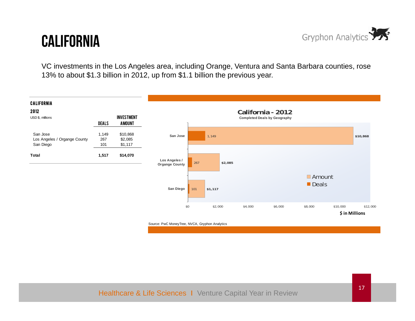### **CALIFORNIA**



VC investments in the Los Angeles area, including Orange, Ventura and Santa Barbara counties, rose 13% to about \$1.3 billion in 2012, up from \$1.1 billion the previous year.

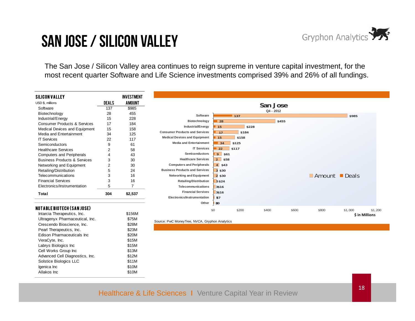

### San Jose / Silicon Valley

The San Jose / Silicon Valley area continues to reign supreme in venture capital investment, for the most recent quarter Software and Life Science investments comprised 39% and 26% of all fundings.

| SILICON VALLEY                          |              | <b>INVESTMENT</b> |                                                |                   |        |             |       |                                            |                |         |
|-----------------------------------------|--------------|-------------------|------------------------------------------------|-------------------|--------|-------------|-------|--------------------------------------------|----------------|---------|
| USD \$, millions                        | <b>DEALS</b> | <b>AMOUNT</b>     |                                                |                   |        | San Jose    |       |                                            |                |         |
| Software                                | 137          | \$985             |                                                |                   |        | $Q4 - 2012$ |       |                                            |                |         |
| Biotechnology                           | 28           | 455               | Software                                       |                   | $-137$ |             |       |                                            | \$985          |         |
| Industrial/Energy                       | 15           | 228               | Biotechnology                                  | 28                |        | \$455       |       |                                            |                |         |
| <b>Consumer Products &amp; Services</b> | 17           | 184               |                                                |                   | \$228  |             |       |                                            |                |         |
| Medical Devices and Equipment           | 15           | 158               | Industrial/Energy                              | 15                |        |             |       |                                            |                |         |
| Media and Entertainment                 | 34           | 125               | <b>Consumer Products and Services</b>          | 17                | \$184  |             |       |                                            |                |         |
| <b>IT Services</b>                      | 22           | 117               | <b>Medical Devices and Equipment</b>           | 15                | \$158  |             |       |                                            |                |         |
| Semiconductors                          | 9            | 61                | <b>Media and Entertainment</b>                 | $\blacksquare$ 34 | \$125  |             |       |                                            |                |         |
| <b>Healthcare Services</b>              | 2            | 58                | <b>IT Services</b>                             | $\overline{22}$   | \$117  |             |       |                                            |                |         |
| <b>Computers and Peripherals</b>        | 4            | 43                | <b>Semiconductors</b>                          | 9 \$61            |        |             |       |                                            |                |         |
| <b>Business Products &amp; Services</b> | 3            | 30                | <b>Healthcare Services</b>                     | $2$ \$58          |        |             |       |                                            |                |         |
| Networking and Equipment                | 2            | 30                | <b>Computers and Peripherals</b>               | $4$ \$43          |        |             |       |                                            |                |         |
| Retailing/Distribution                  | 5            | 24                | <b>Business Products and Services</b>          | 3 \$30            |        |             |       |                                            |                |         |
| Telecommunications                      | 3            | 16                | Networking and Equipment                       | 2 \$30            |        |             |       | $\blacksquare$ Amount $\blacksquare$ Deals |                |         |
| <b>Financial Services</b>               | 3            | 16                | <b>Retailing/Distribution</b>                  | 5\$24             |        |             |       |                                            |                |         |
| Electronics/Instrumentation             | 5            | $\overline{7}$    | Telecommunications                             | 3\$16             |        |             |       |                                            |                |         |
| Total                                   | 304          | \$2,537           | <b>Financial Services</b>                      | 3\$16             |        |             |       |                                            |                |         |
|                                         |              |                   | Electronics/Instrumentation                    | \$7               |        |             |       |                                            |                |         |
|                                         |              |                   | Other                                          | 50                |        |             |       |                                            |                |         |
| NOTABLE BIOTECH (SAN JOSE)              |              |                   |                                                | \$0               | \$200  | \$400       | \$600 | \$800                                      | \$1,000        | \$1,200 |
| Intarcia Therapeutics, Inc.             |              | \$156M            |                                                |                   |        |             |       |                                            | \$ in Millions |         |
| Ultragenyx Pharmaceutical, Inc.         |              | \$75M             |                                                |                   |        |             |       |                                            |                |         |
| Crescendo Bioscience, Inc.              |              | \$28M             | Source: PwC MoneyTree, NVCA, Gryphon Analytics |                   |        |             |       |                                            |                |         |
| Pearl Therapeutics, Inc.                |              | \$23M             |                                                |                   |        |             |       |                                            |                |         |
| <b>Edison Pharmaceuticals Inc</b>       |              | \$20M             |                                                |                   |        |             |       |                                            |                |         |
| VeraCyte, Inc.                          |              | \$15M             |                                                |                   |        |             |       |                                            |                |         |
| Labrys Biologics Inc                    |              | \$15M             |                                                |                   |        |             |       |                                            |                |         |
| Cell Works Group Inc                    |              | \$13M             |                                                |                   |        |             |       |                                            |                |         |
| Advanced Cell Diagnostics, Inc.         |              | \$12M             |                                                |                   |        |             |       |                                            |                |         |
| Solstice Biologics LLC                  |              | \$11M             |                                                |                   |        |             |       |                                            |                |         |
| Igenica Inc                             |              | \$10M             |                                                |                   |        |             |       |                                            |                |         |
|                                         |              |                   |                                                |                   |        |             |       |                                            |                |         |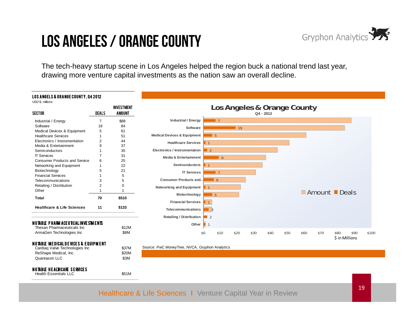### Los Angeles / Orange County



The tech-heavy startup scene in Los Angeles helped the region buck a national trend last year, drawing more venture capital investments as the nation saw an overall decline.

#### LOS ANGELS & ORANGE COUNTY, Q4 2012

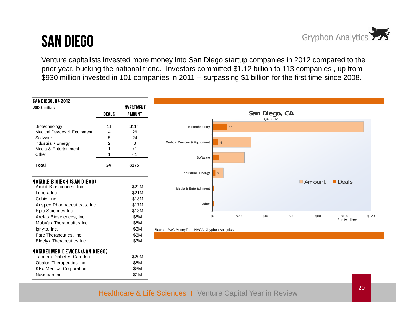### San Diego



Venture capitalists invested more money into San Diego startup companies in 2012 compared to the prior year, bucking the national trend. Investors committed \$1.12 billion to 113 companies , up from \$930 million invested in 101 companies in 2011 -- surpassing \$1 billion for the first time since 2008.